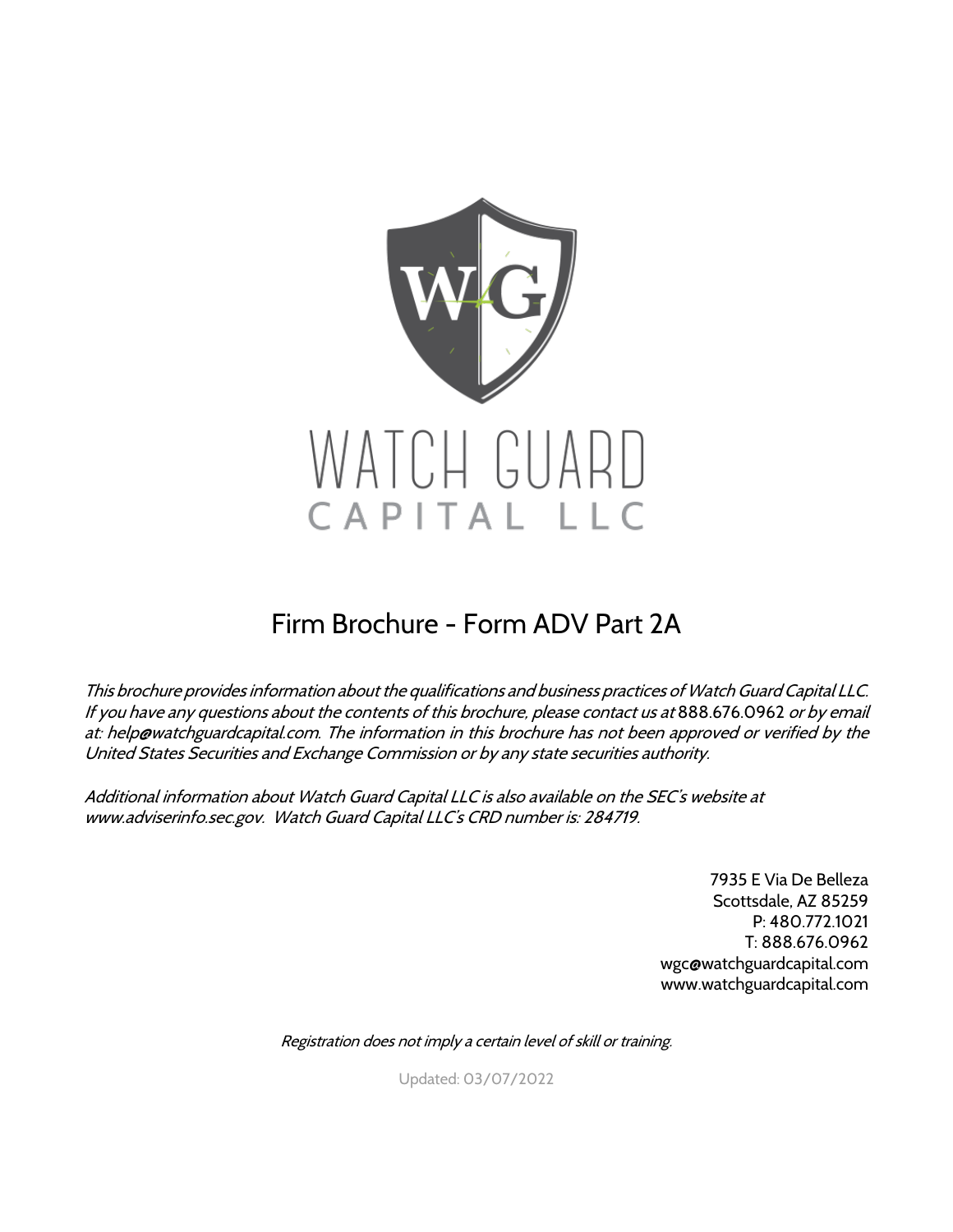

## Firm Brochure - Form ADV Part 2A

This brochure provides information about the qualifications and business practices of Watch Guard Capital LLC. If you have any questions about the contents of this brochure, please contact us at 888.676.0962 or by email at: help@watchguardcapital.com. The information in this brochure has not been approved or verified by the United States Securities and Exchange Commission or by any state securities authority.

Additional information about Watch Guard Capital LLC is also available on the SEC's website at www.adviserinfo.sec.gov. Watch Guard Capital LLC's CRD number is: 284719.

> 7935 E Via De Belleza Scottsdale, AZ 85259 P: 480.772.1021 T: 888.676.0962 wgc@watchguardcapital.com www.watchguardcapital.com

Registration does not imply a certain level of skill or training.

Updated: 03/07/2022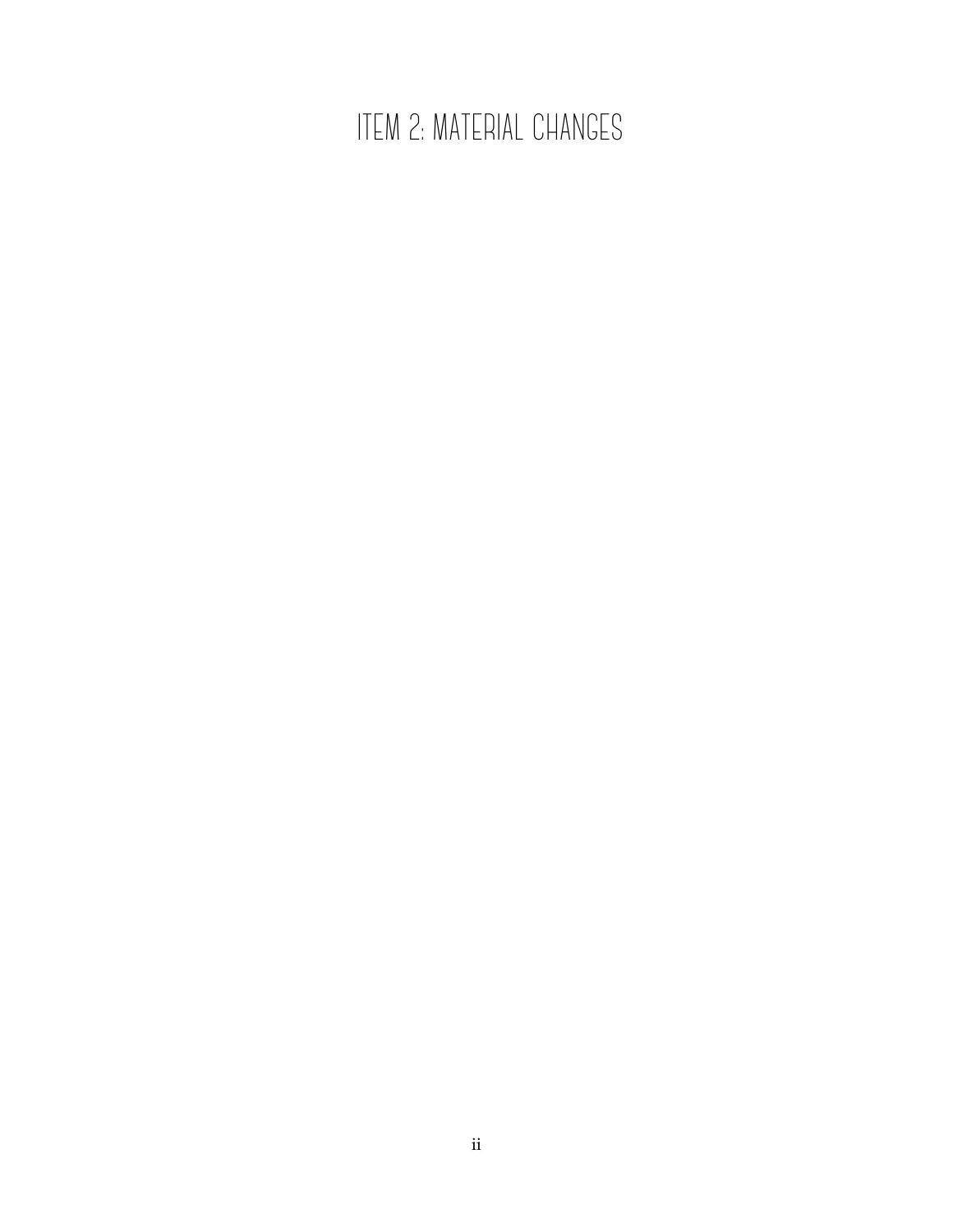# ITEM 2: MATERIAL CHANGES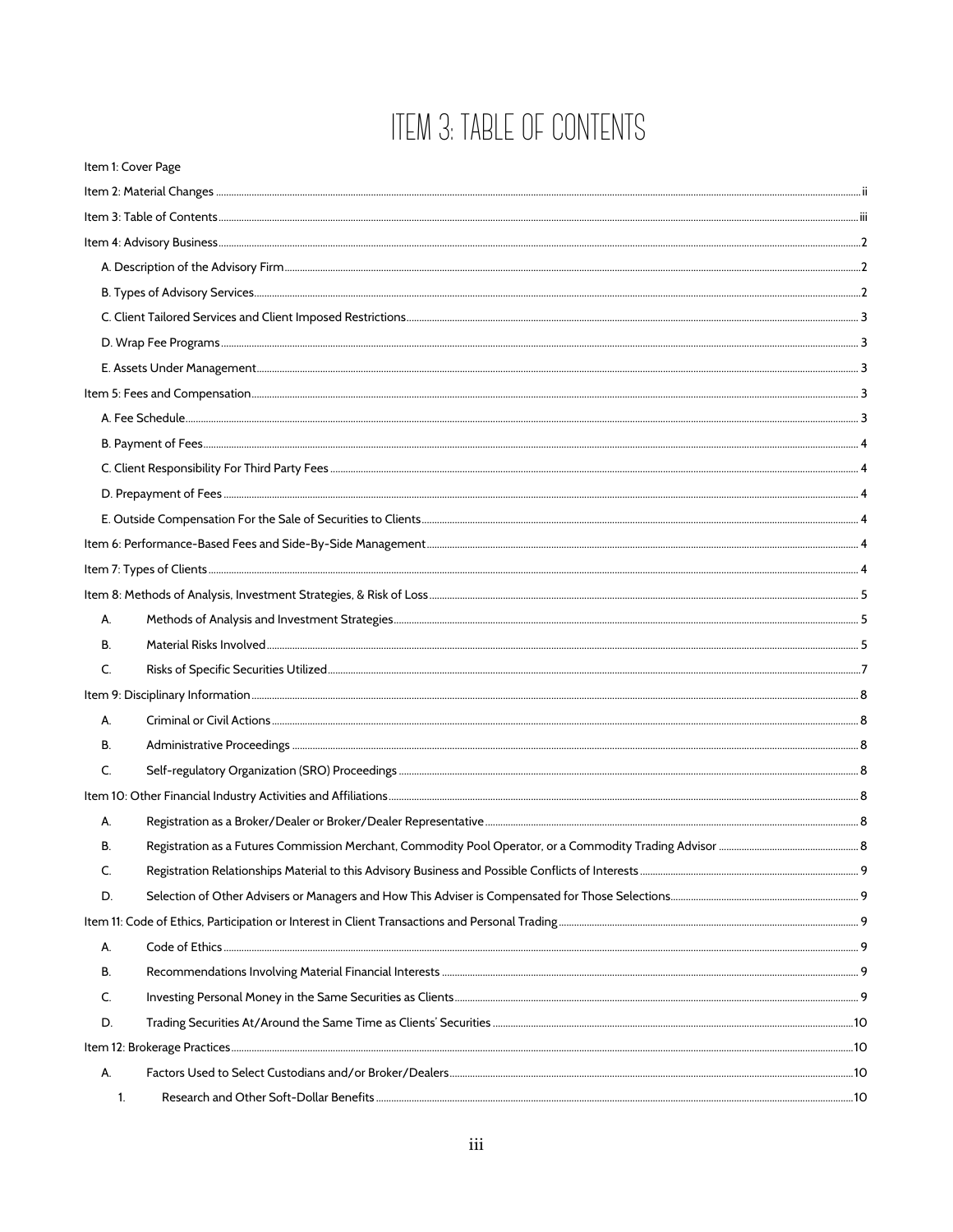# ITEM 3: TABLE OF CONTENTS

|              | Item 1: Cover Page |  |
|--------------|--------------------|--|
|              |                    |  |
|              |                    |  |
|              |                    |  |
|              |                    |  |
|              |                    |  |
|              |                    |  |
|              |                    |  |
|              |                    |  |
|              |                    |  |
|              |                    |  |
|              |                    |  |
|              |                    |  |
|              |                    |  |
|              |                    |  |
|              |                    |  |
|              |                    |  |
|              |                    |  |
| А.           |                    |  |
| В.           |                    |  |
| C.           |                    |  |
|              |                    |  |
| А.           |                    |  |
| В.           |                    |  |
| $\mathsf{C}$ |                    |  |
|              |                    |  |
| А.           |                    |  |
| В.           |                    |  |
| C.           |                    |  |
| D.           |                    |  |
|              |                    |  |
| А.           |                    |  |
| В.           |                    |  |
| C.           |                    |  |
| D.           |                    |  |
|              |                    |  |
| А.           |                    |  |
|              | 1.                 |  |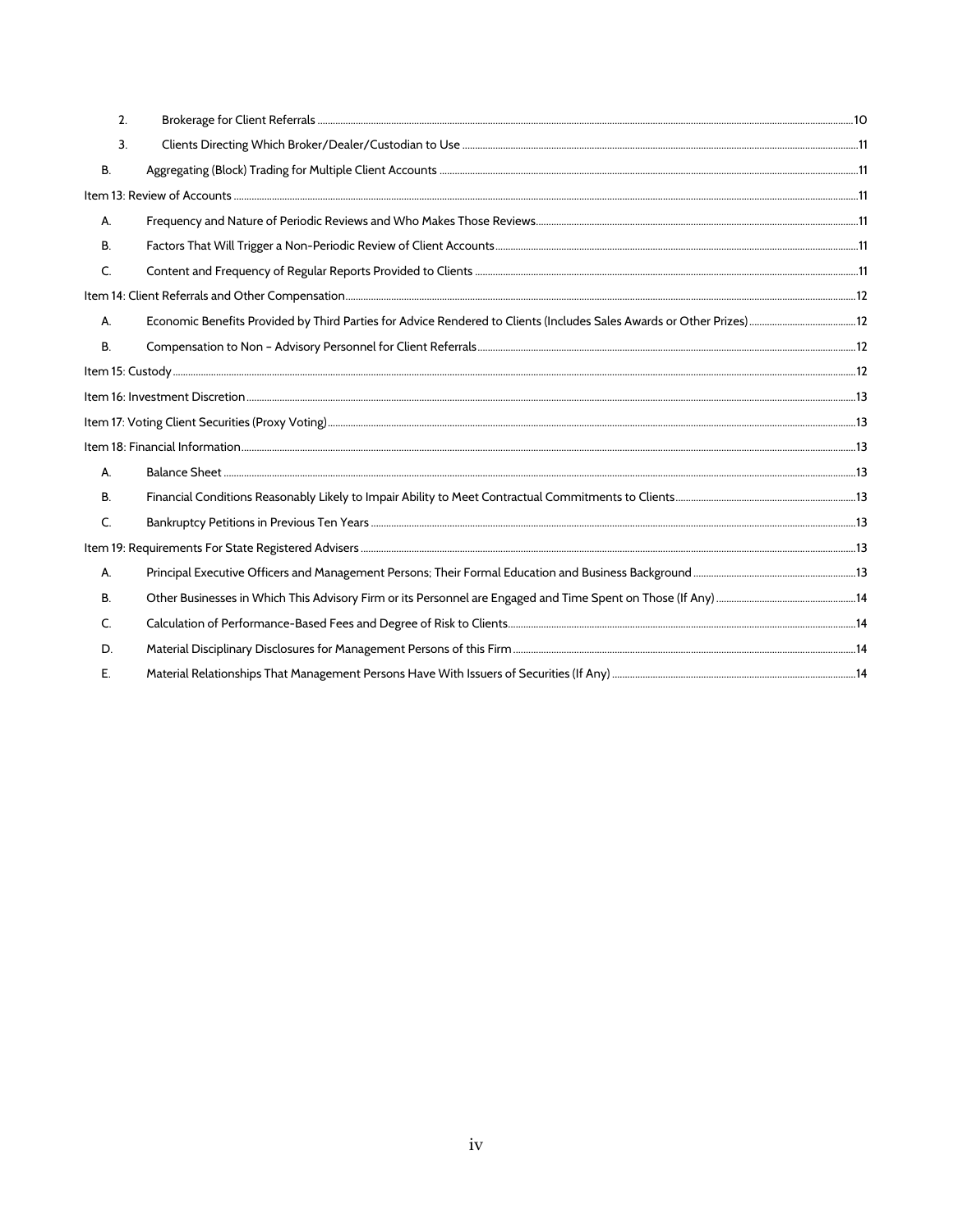| 2.           |  |
|--------------|--|
| 3.           |  |
| <b>B.</b>    |  |
|              |  |
| А.           |  |
| <b>B.</b>    |  |
| $\mathsf{C}$ |  |
|              |  |
| А.           |  |
| <b>B.</b>    |  |
|              |  |
|              |  |
|              |  |
|              |  |
| A.           |  |
| В.           |  |
| $\mathsf{C}$ |  |
|              |  |
| А.           |  |
| В.           |  |
| $\mathsf{C}$ |  |
| D.           |  |
| Е.           |  |
|              |  |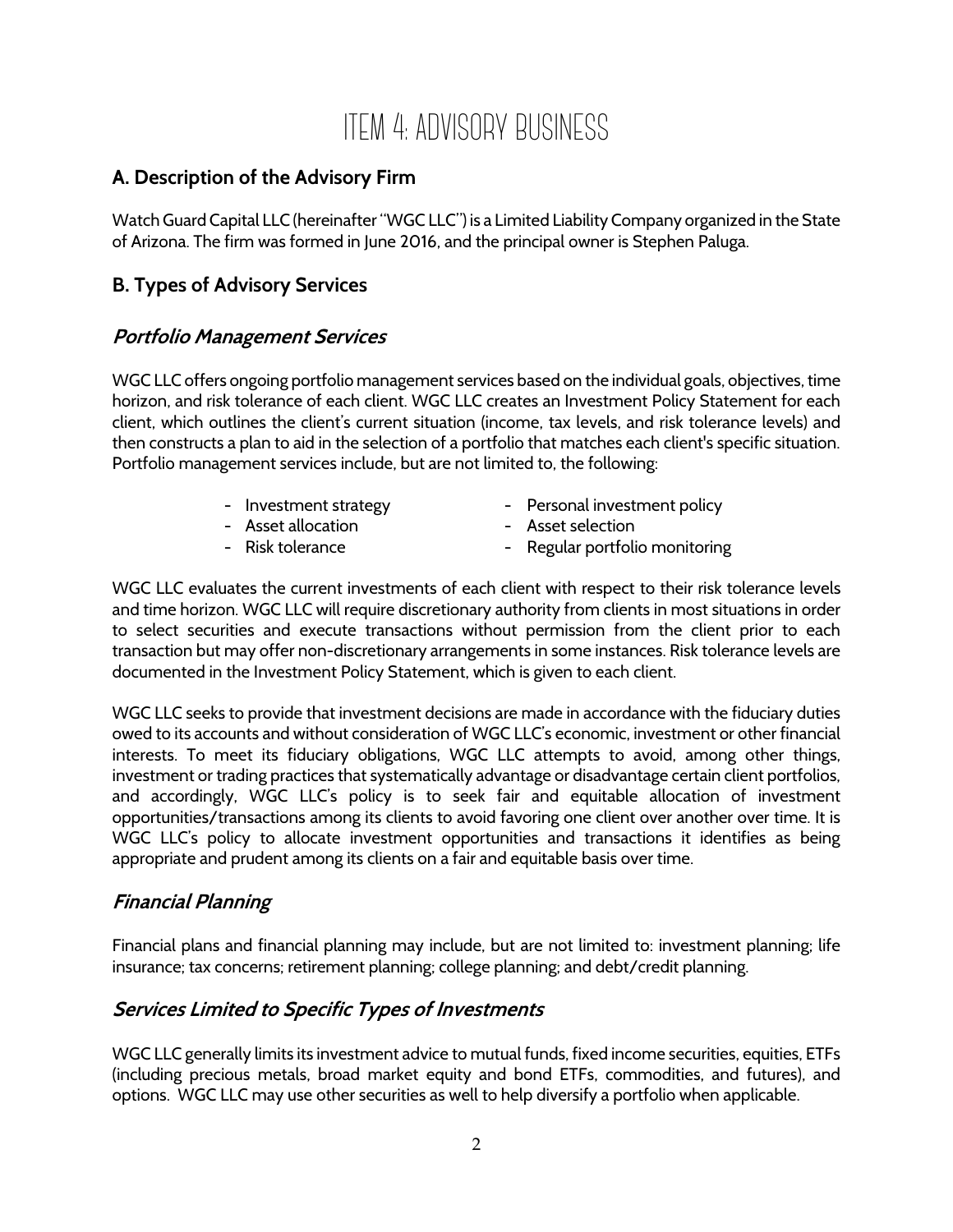## ITEM 4: ADVISORY BUSINESS

## **A. Description of the Advisory Firm**

Watch Guard Capital LLC (hereinafter "WGC LLC") is a Limited Liability Company organized in the State of Arizona. The firm was formed in June 2016, and the principal owner is Stephen Paluga.

## **B. Types of Advisory Services**

## **Portfolio Management Services**

WGC LLC offers ongoing portfolio management services based on the individual goals, objectives, time horizon, and risk tolerance of each client. WGC LLC creates an Investment Policy Statement for each client, which outlines the client's current situation (income, tax levels, and risk tolerance levels) and then constructs a plan to aid in the selection of a portfolio that matches each client's specific situation. Portfolio management services include, but are not limited to, the following:

- 
- Investment strategy Personal investment policy
- Asset allocation  **Asset selection** 
	-
- 
- Risk tolerance  **Regular portfolio monitoring**

WGC LLC evaluates the current investments of each client with respect to their risk tolerance levels and time horizon. WGC LLC will require discretionary authority from clients in most situations in order to select securities and execute transactions without permission from the client prior to each transaction but may offer non-discretionary arrangements in some instances. Risk tolerance levels are documented in the Investment Policy Statement, which is given to each client.

WGC LLC seeks to provide that investment decisions are made in accordance with the fiduciary duties owed to its accounts and without consideration of WGC LLC's economic, investment or other financial interests. To meet its fiduciary obligations, WGC LLC attempts to avoid, among other things, investment or trading practices that systematically advantage or disadvantage certain client portfolios, and accordingly, WGC LLC's policy is to seek fair and equitable allocation of investment opportunities/transactions among its clients to avoid favoring one client over another over time. It is WGC LLC's policy to allocate investment opportunities and transactions it identifies as being appropriate and prudent among its clients on a fair and equitable basis over time.

## **Financial Planning**

Financial plans and financial planning may include, but are not limited to: investment planning; life insurance; tax concerns; retirement planning; college planning; and debt/credit planning.

## **Services Limited to Specific Types of Investments**

WGC LLC generally limits its investment advice to mutual funds, fixed income securities, equities, ETFs (including precious metals, broad market equity and bond ETFs, commodities, and futures), and options. WGC LLC may use other securities as well to help diversify a portfolio when applicable.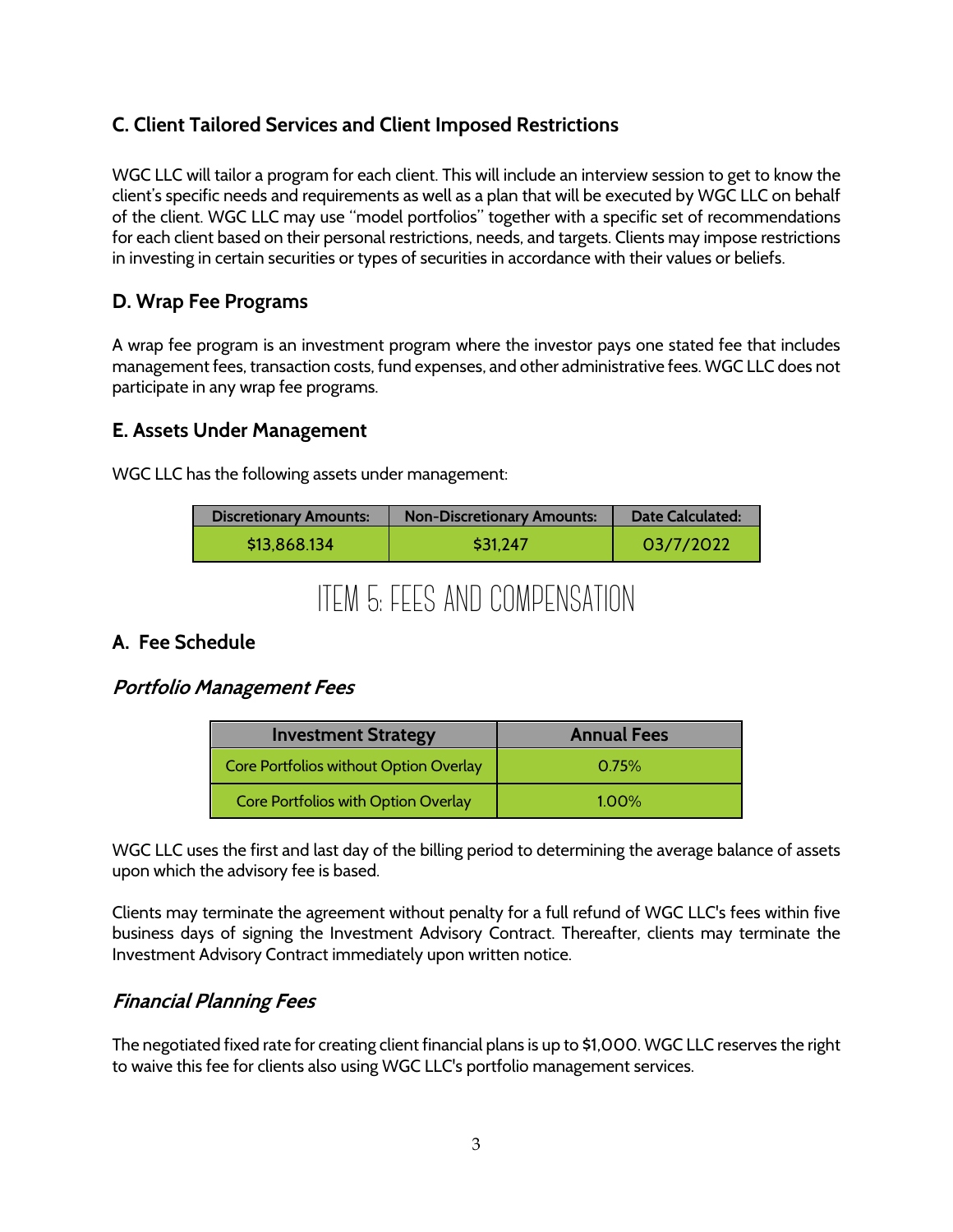## **C. Client Tailored Services and Client Imposed Restrictions**

WGC LLC will tailor a program for each client. This will include an interview session to get to know the client's specific needs and requirements as well as a plan that will be executed by WGC LLC on behalf of the client. WGC LLC may use "model portfolios" together with a specific set of recommendations for each client based on their personal restrictions, needs, and targets. Clients may impose restrictions in investing in certain securities or types of securities in accordance with their values or beliefs.

### **D. Wrap Fee Programs**

A wrap fee program is an investment program where the investor pays one stated fee that includes management fees, transaction costs, fund expenses, and other administrative fees. WGC LLC does not participate in any wrap fee programs.

#### **E. Assets Under Management**

WGC LLC has the following assets under management:

| <b>Discretionary Amounts:</b> | <b>Non-Discretionary Amounts:</b> | Date Calculated: |
|-------------------------------|-----------------------------------|------------------|
| \$13,868.134                  | \$31.247                          | 03/7/2022        |

## ITEM 5: FEES AND COMPENSATION

## **A. Fee Schedule**

#### **Portfolio Management Fees**

| <b>Investment Strategy</b>             | <b>Annual Fees</b> |
|----------------------------------------|--------------------|
| Core Portfolios without Option Overlay | 0.75%              |
| Core Portfolios with Option Overlay    | $1.00\%$           |

WGC LLC uses the first and last day of the billing period to determining the average balance of assets upon which the advisory fee is based.

Clients may terminate the agreement without penalty for a full refund of WGC LLC's fees within five business days of signing the Investment Advisory Contract. Thereafter, clients may terminate the Investment Advisory Contract immediately upon written notice.

## **Financial Planning Fees**

The negotiated fixed rate for creating client financial plans is up to \$1,000. WGC LLC reserves the right to waive this fee for clients also using WGC LLC's portfolio management services.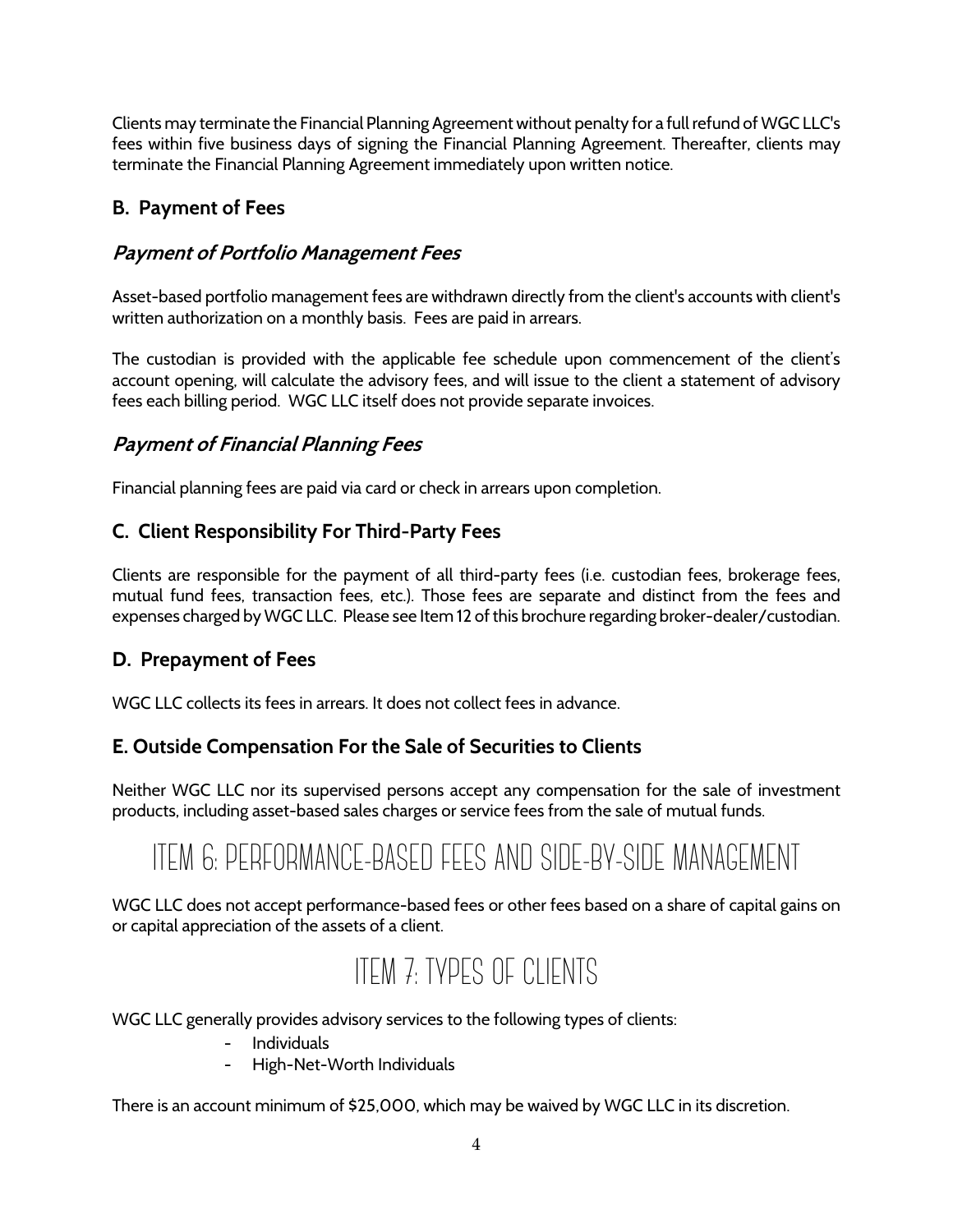Clients may terminate the Financial Planning Agreement without penalty for a full refund of WGC LLC's fees within five business days of signing the Financial Planning Agreement. Thereafter, clients may terminate the Financial Planning Agreement immediately upon written notice.

## **B. Payment of Fees**

## **Payment of Portfolio Management Fees**

Asset-based portfolio management fees are withdrawn directly from the client's accounts with client's written authorization on a monthly basis. Fees are paid in arrears.

The custodian is provided with the applicable fee schedule upon commencement of the client's account opening, will calculate the advisory fees, and will issue to the client a statement of advisory fees each billing period. WGC LLC itself does not provide separate invoices.

## **Payment of Financial Planning Fees**

Financial planning fees are paid via card or check in arrears upon completion.

## **C. Client Responsibility For Third-Party Fees**

Clients are responsible for the payment of all third-party fees (i.e. custodian fees, brokerage fees, mutual fund fees, transaction fees, etc.). Those fees are separate and distinct from the fees and expenses charged by WGC LLC. Please see Item 12 of this brochure regarding broker-dealer/custodian.

## **D. Prepayment of Fees**

WGC LLC collects its fees in arrears. It does not collect fees in advance.

## **E. Outside Compensation For the Sale of Securities to Clients**

Neither WGC LLC nor its supervised persons accept any compensation for the sale of investment products, including asset-based sales charges or service fees from the sale of mutual funds.

# ITEM 6: PERFORMANCE-BASED FEES AND SIDE-BY-SIDE MANAGEMENT

WGC LLC does not accept performance-based fees or other fees based on a share of capital gains on or capital appreciation of the assets of a client.

## ITEM 7: TYPES OF CLIENTS

WGC LLC generally provides advisory services to the following types of clients:

- **Individuals**
- High-Net-Worth Individuals

There is an account minimum of \$25,000, which may be waived by WGC LLC in its discretion.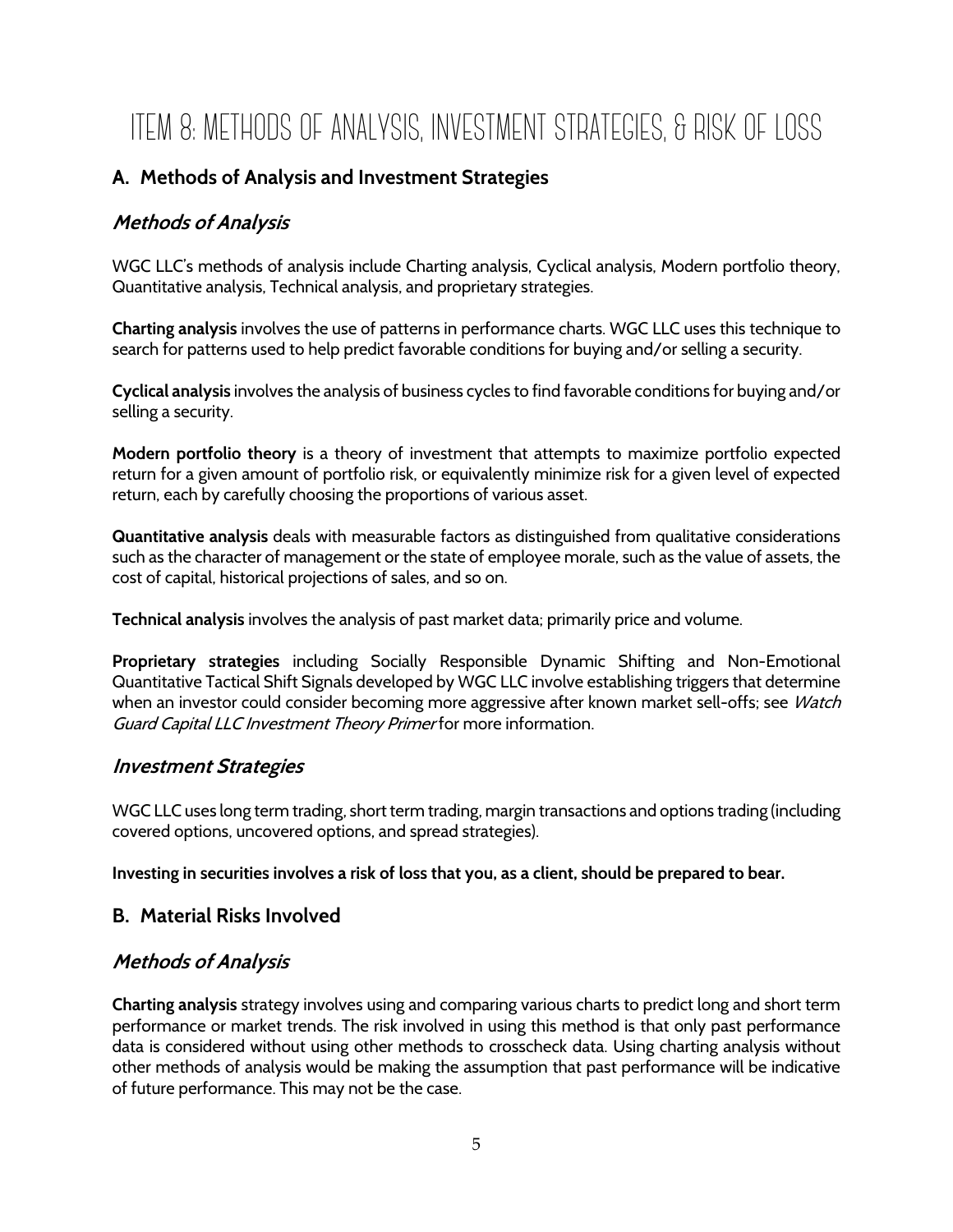# ITEM 8: METHODS OF ANALYSIS, INVESTMENT STRATEGIES, & RISK OF LOSS

## **A. Methods of Analysis and Investment Strategies**

## **Methods of Analysis**

WGC LLC's methods of analysis include Charting analysis, Cyclical analysis, Modern portfolio theory, Quantitative analysis, Technical analysis, and proprietary strategies.

**Charting analysis** involves the use of patterns in performance charts. WGC LLC uses this technique to search for patterns used to help predict favorable conditions for buying and/or selling a security.

**Cyclical analysis** involves the analysis of business cycles to find favorable conditions for buying and/or selling a security.

**Modern portfolio theory** is a theory of investment that attempts to maximize portfolio expected return for a given amount of portfolio risk, or equivalently minimize risk for a given level of expected return, each by carefully choosing the proportions of various asset.

**Quantitative analysis** deals with measurable factors as distinguished from qualitative considerations such as the character of management or the state of employee morale, such as the value of assets, the cost of capital, historical projections of sales, and so on.

**Technical analysis** involves the analysis of past market data; primarily price and volume.

**Proprietary strategies** including Socially Responsible Dynamic Shifting and Non-Emotional Quantitative Tactical Shift Signals developed by WGC LLC involve establishing triggers that determine when an investor could consider becoming more aggressive after known market sell-offs; see Watch Guard Capital LLC Investment Theory Primerfor more information.

#### **Investment Strategies**

WGC LLC uses long term trading, short term trading, margin transactions and options trading (including covered options, uncovered options, and spread strategies).

**Investing in securities involves a risk of loss that you, as a client, should be prepared to bear.**

#### **B. Material Risks Involved**

## **Methods of Analysis**

**Charting analysis** strategy involves using and comparing various charts to predict long and short term performance or market trends. The risk involved in using this method is that only past performance data is considered without using other methods to crosscheck data. Using charting analysis without other methods of analysis would be making the assumption that past performance will be indicative of future performance. This may not be the case.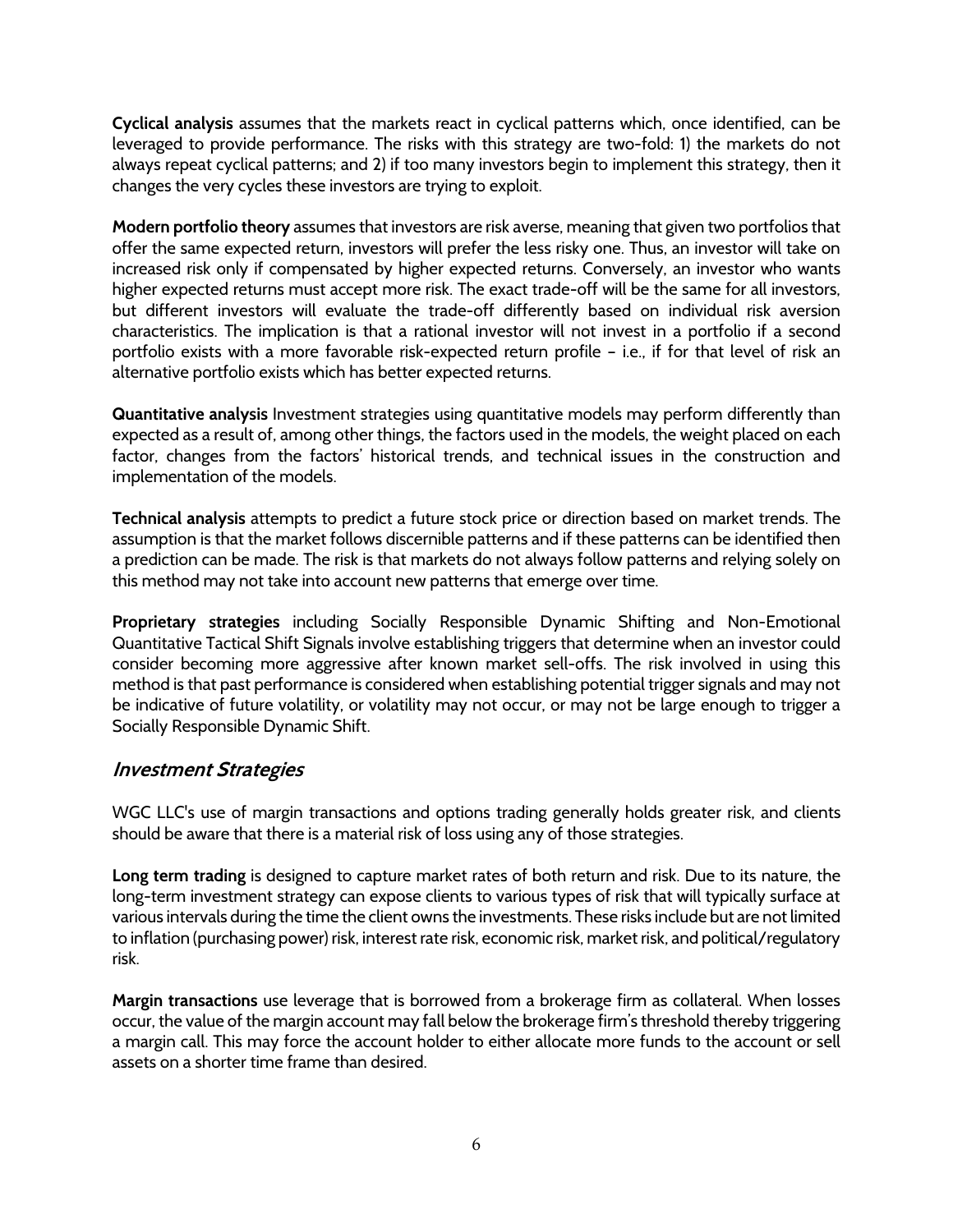**Cyclical analysis** assumes that the markets react in cyclical patterns which, once identified, can be leveraged to provide performance. The risks with this strategy are two-fold: 1) the markets do not always repeat cyclical patterns; and 2) if too many investors begin to implement this strategy, then it changes the very cycles these investors are trying to exploit.

**Modern portfolio theory** assumes that investors are risk averse, meaning that given two portfolios that offer the same expected return, investors will prefer the less risky one. Thus, an investor will take on increased risk only if compensated by higher expected returns. Conversely, an investor who wants higher expected returns must accept more risk. The exact trade-off will be the same for all investors, but different investors will evaluate the trade-off differently based on individual risk aversion characteristics. The implication is that a rational investor will not invest in a portfolio if a second portfolio exists with a more favorable risk-expected return profile – i.e., if for that level of risk an alternative portfolio exists which has better expected returns.

**Quantitative analysis** Investment strategies using quantitative models may perform differently than expected as a result of, among other things, the factors used in the models, the weight placed on each factor, changes from the factors' historical trends, and technical issues in the construction and implementation of the models.

**Technical analysis** attempts to predict a future stock price or direction based on market trends. The assumption is that the market follows discernible patterns and if these patterns can be identified then a prediction can be made. The risk is that markets do not always follow patterns and relying solely on this method may not take into account new patterns that emerge over time.

**Proprietary strategies** including Socially Responsible Dynamic Shifting and Non-Emotional Quantitative Tactical Shift Signals involve establishing triggers that determine when an investor could consider becoming more aggressive after known market sell-offs. The risk involved in using this method is that past performance is considered when establishing potential trigger signals and may not be indicative of future volatility, or volatility may not occur, or may not be large enough to trigger a Socially Responsible Dynamic Shift.

#### **Investment Strategies**

WGC LLC's use of margin transactions and options trading generally holds greater risk, and clients should be aware that there is a material risk of loss using any of those strategies.

**Long term trading** is designed to capture market rates of both return and risk. Due to its nature, the long-term investment strategy can expose clients to various types of risk that will typically surface at various intervals during the time the client owns the investments. These risks include but are not limited to inflation (purchasing power) risk, interest rate risk, economic risk, market risk, and political/regulatory risk.

**Margin transactions** use leverage that is borrowed from a brokerage firm as collateral. When losses occur, the value of the margin account may fall below the brokerage firm's threshold thereby triggering a margin call. This may force the account holder to either allocate more funds to the account or sell assets on a shorter time frame than desired.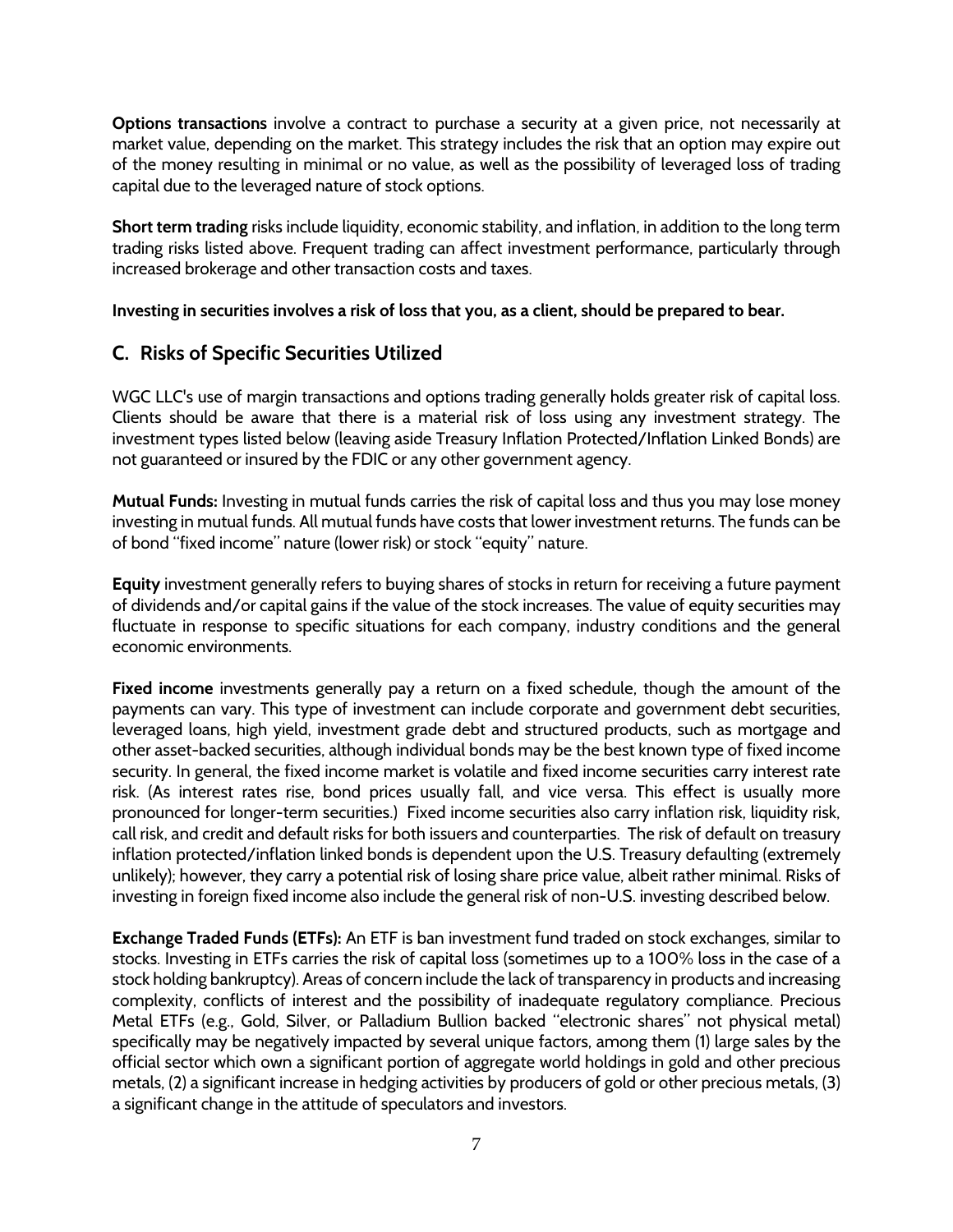**Options transactions** involve a contract to purchase a security at a given price, not necessarily at market value, depending on the market. This strategy includes the risk that an option may expire out of the money resulting in minimal or no value, as well as the possibility of leveraged loss of trading capital due to the leveraged nature of stock options.

**Short term trading** risks include liquidity, economic stability, and inflation, in addition to the long term trading risks listed above. Frequent trading can affect investment performance, particularly through increased brokerage and other transaction costs and taxes.

**Investing in securities involves a risk of loss that you, as a client, should be prepared to bear.**

## **C. Risks of Specific Securities Utilized**

WGC LLC's use of margin transactions and options trading generally holds greater risk of capital loss. Clients should be aware that there is a material risk of loss using any investment strategy. The investment types listed below (leaving aside Treasury Inflation Protected/Inflation Linked Bonds) are not guaranteed or insured by the FDIC or any other government agency.

**Mutual Funds:** Investing in mutual funds carries the risk of capital loss and thus you may lose money investing in mutual funds. All mutual funds have costs that lower investment returns. The funds can be of bond "fixed income" nature (lower risk) or stock "equity" nature.

**Equity** investment generally refers to buying shares of stocks in return for receiving a future payment of dividends and/or capital gains if the value of the stock increases. The value of equity securities may fluctuate in response to specific situations for each company, industry conditions and the general economic environments.

**Fixed income** investments generally pay a return on a fixed schedule, though the amount of the payments can vary. This type of investment can include corporate and government debt securities, leveraged loans, high yield, investment grade debt and structured products, such as mortgage and other asset-backed securities, although individual bonds may be the best known type of fixed income security. In general, the fixed income market is volatile and fixed income securities carry interest rate risk. (As interest rates rise, bond prices usually fall, and vice versa. This effect is usually more pronounced for longer-term securities.) Fixed income securities also carry inflation risk, liquidity risk, call risk, and credit and default risks for both issuers and counterparties. The risk of default on treasury inflation protected/inflation linked bonds is dependent upon the U.S. Treasury defaulting (extremely unlikely); however, they carry a potential risk of losing share price value, albeit rather minimal. Risks of investing in foreign fixed income also include the general risk of non-U.S. investing described below.

**Exchange Traded Funds (ETFs):** An ETF is ban investment fund traded on stock exchanges, similar to stocks. Investing in ETFs carries the risk of capital loss (sometimes up to a 100% loss in the case of a stock holding bankruptcy). Areas of concern include the lack of transparency in products and increasing complexity, conflicts of interest and the possibility of inadequate regulatory compliance. Precious Metal ETFs (e.g., Gold, Silver, or Palladium Bullion backed "electronic shares" not physical metal) specifically may be negatively impacted by several unique factors, among them (1) large sales by the official sector which own a significant portion of aggregate world holdings in gold and other precious metals, (2) a significant increase in hedging activities by producers of gold or other precious metals, (3) a significant change in the attitude of speculators and investors.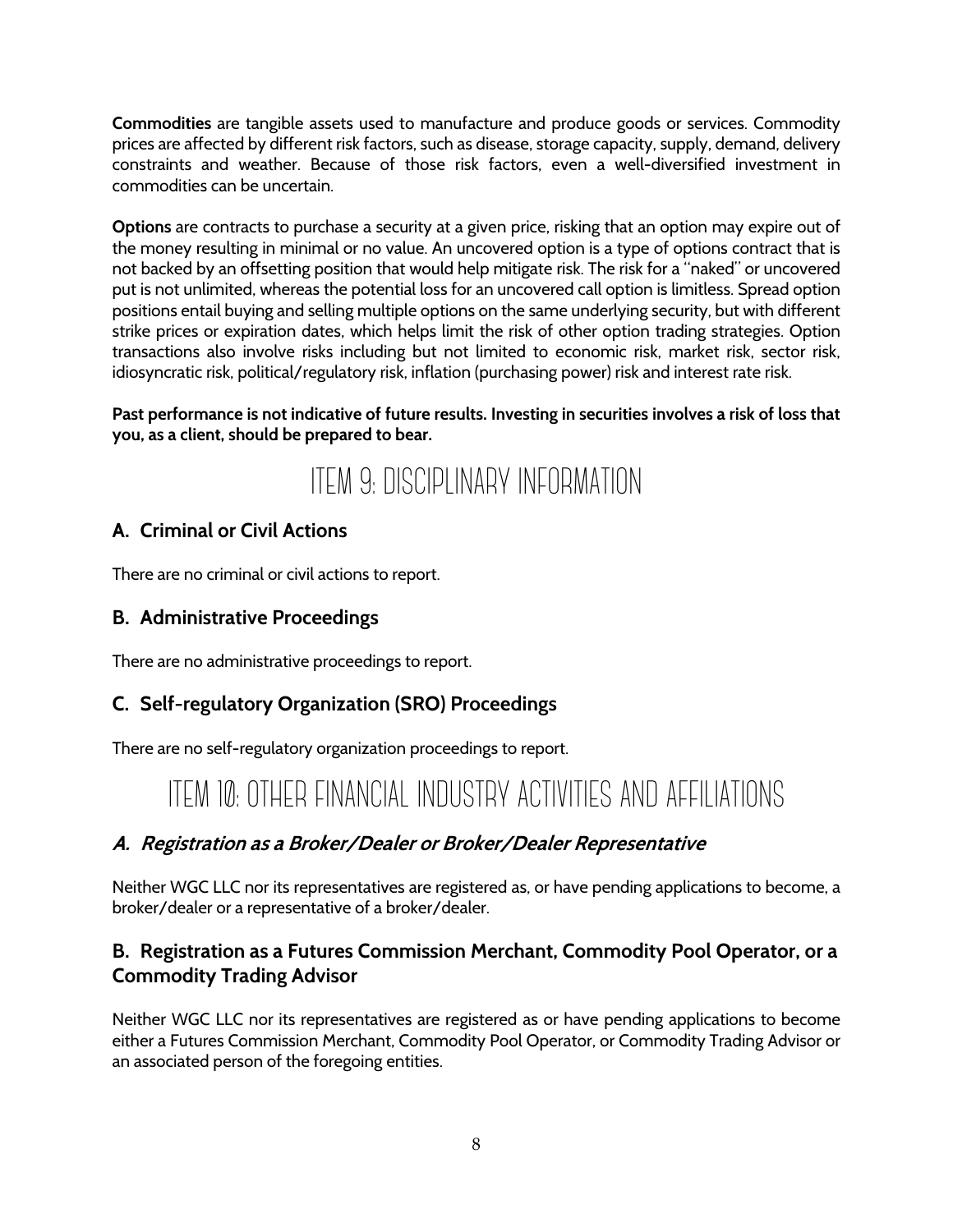**Commodities** are tangible assets used to manufacture and produce goods or services. Commodity prices are affected by different risk factors, such as disease, storage capacity, supply, demand, delivery constraints and weather. Because of those risk factors, even a well-diversified investment in commodities can be uncertain.

**Options** are contracts to purchase a security at a given price, risking that an option may expire out of the money resulting in minimal or no value. An uncovered option is a type of options contract that is not backed by an offsetting position that would help mitigate risk. The risk for a "naked" or uncovered put is not unlimited, whereas the potential loss for an uncovered call option is limitless. Spread option positions entail buying and selling multiple options on the same underlying security, but with different strike prices or expiration dates, which helps limit the risk of other option trading strategies. Option transactions also involve risks including but not limited to economic risk, market risk, sector risk, idiosyncratic risk, political/regulatory risk, inflation (purchasing power) risk and interest rate risk.

#### **Past performance is not indicative of future results. Investing in securities involves a risk of loss that you, as a client, should be prepared to bear.**

## ITEM 9: DISCIPLINARY INFORMATION

## **A. Criminal or Civil Actions**

There are no criminal or civil actions to report.

## **B. Administrative Proceedings**

There are no administrative proceedings to report.

## **C. Self-regulatory Organization (SRO) Proceedings**

There are no self-regulatory organization proceedings to report.

## ITEM 10: OTHER FINANCIAL INDUSTRY ACTIVITIES AND AFFILIATIONS

## **A. Registration as a Broker/Dealer or Broker/Dealer Representative**

Neither WGC LLC nor its representatives are registered as, or have pending applications to become, a broker/dealer or a representative of a broker/dealer.

## **B. Registration as a Futures Commission Merchant, Commodity Pool Operator, or a Commodity Trading Advisor**

Neither WGC LLC nor its representatives are registered as or have pending applications to become either a Futures Commission Merchant, Commodity Pool Operator, or Commodity Trading Advisor or an associated person of the foregoing entities.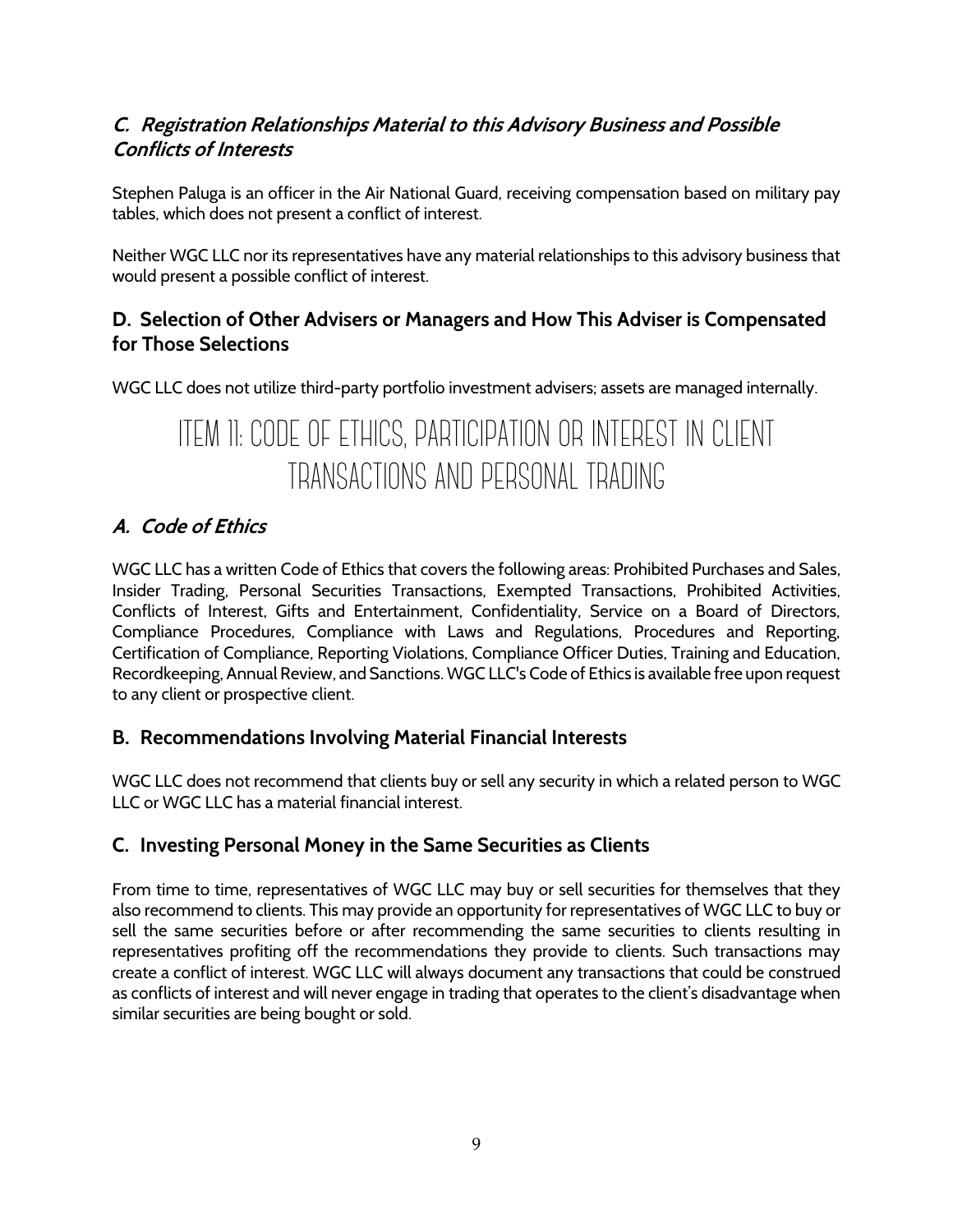## **C. Registration Relationships Material to this Advisory Business and Possible Conflicts of Interests**

Stephen Paluga is an officer in the Air National Guard, receiving compensation based on military pay tables, which does not present a conflict of interest.

Neither WGC LLC nor its representatives have any material relationships to this advisory business that would present a possible conflict of interest.

## **D. Selection of Other Advisers or Managers and How This Adviser is Compensated for Those Selections**

WGC LLC does not utilize third-party portfolio investment advisers; assets are managed internally.

## ITEM 11: CODE OF ETHICS, PARTICIPATION OR INTEREST IN CLIENT TRANSACTIONS AND PERSONAL TRADING

## **A. Code of Ethics**

WGC LLC has a written Code of Ethics that covers the following areas: Prohibited Purchases and Sales, Insider Trading, Personal Securities Transactions, Exempted Transactions, Prohibited Activities, Conflicts of Interest, Gifts and Entertainment, Confidentiality, Service on a Board of Directors, Compliance Procedures, Compliance with Laws and Regulations, Procedures and Reporting, Certification of Compliance, Reporting Violations, Compliance Officer Duties, Training and Education, Recordkeeping, Annual Review, and Sanctions. WGC LLC's Code of Ethics is available free upon request to any client or prospective client.

## **B. Recommendations Involving Material Financial Interests**

WGC LLC does not recommend that clients buy or sell any security in which a related person to WGC LLC or WGC LLC has a material financial interest.

## **C. Investing Personal Money in the Same Securities as Clients**

From time to time, representatives of WGC LLC may buy or sell securities for themselves that they also recommend to clients. This may provide an opportunity for representatives of WGC LLC to buy or sell the same securities before or after recommending the same securities to clients resulting in representatives profiting off the recommendations they provide to clients. Such transactions may create a conflict of interest. WGC LLC will always document any transactions that could be construed as conflicts of interest and will never engage in trading that operates to the client's disadvantage when similar securities are being bought or sold.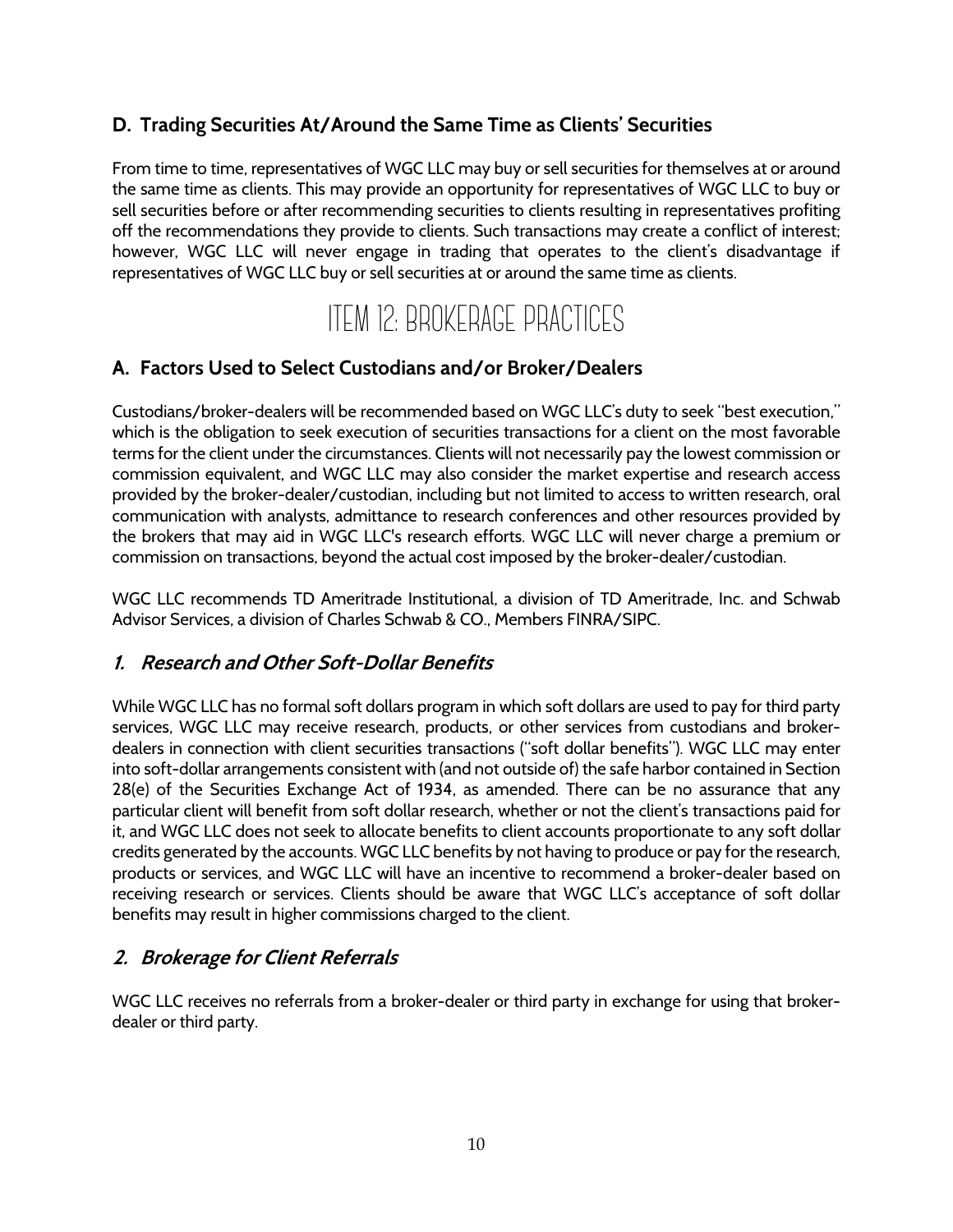### **D. Trading Securities At/Around the Same Time as Clients' Securities**

From time to time, representatives of WGC LLC may buy or sell securities for themselves at or around the same time as clients. This may provide an opportunity for representatives of WGC LLC to buy or sell securities before or after recommending securities to clients resulting in representatives profiting off the recommendations they provide to clients. Such transactions may create a conflict of interest; however, WGC LLC will never engage in trading that operates to the client's disadvantage if representatives of WGC LLC buy or sell securities at or around the same time as clients.

## ITEM 12: BROKERAGE PRACTICES

#### **A. Factors Used to Select Custodians and/or Broker/Dealers**

Custodians/broker-dealers will be recommended based on WGC LLC's duty to seek "best execution," which is the obligation to seek execution of securities transactions for a client on the most favorable terms for the client under the circumstances. Clients will not necessarily pay the lowest commission or commission equivalent, and WGC LLC may also consider the market expertise and research access provided by the broker-dealer/custodian, including but not limited to access to written research, oral communication with analysts, admittance to research conferences and other resources provided by the brokers that may aid in WGC LLC's research efforts. WGC LLC will never charge a premium or commission on transactions, beyond the actual cost imposed by the broker-dealer/custodian.

WGC LLC recommends TD Ameritrade Institutional, a division of TD Ameritrade, Inc. and Schwab Advisor Services, a division of Charles Schwab & CO., Members FINRA/SIPC.

#### **1. Research and Other Soft-Dollar Benefits**

While WGC LLC has no formal soft dollars program in which soft dollars are used to pay for third party services, WGC LLC may receive research, products, or other services from custodians and brokerdealers in connection with client securities transactions ("soft dollar benefits"). WGC LLC may enter into soft-dollar arrangements consistent with (and not outside of) the safe harbor contained in Section 28(e) of the Securities Exchange Act of 1934, as amended. There can be no assurance that any particular client will benefit from soft dollar research, whether or not the client's transactions paid for it, and WGC LLC does not seek to allocate benefits to client accounts proportionate to any soft dollar credits generated by the accounts. WGC LLC benefits by not having to produce or pay for the research, products or services, and WGC LLC will have an incentive to recommend a broker-dealer based on receiving research or services. Clients should be aware that WGC LLC's acceptance of soft dollar benefits may result in higher commissions charged to the client.

#### **2. Brokerage for Client Referrals**

WGC LLC receives no referrals from a broker-dealer or third party in exchange for using that brokerdealer or third party.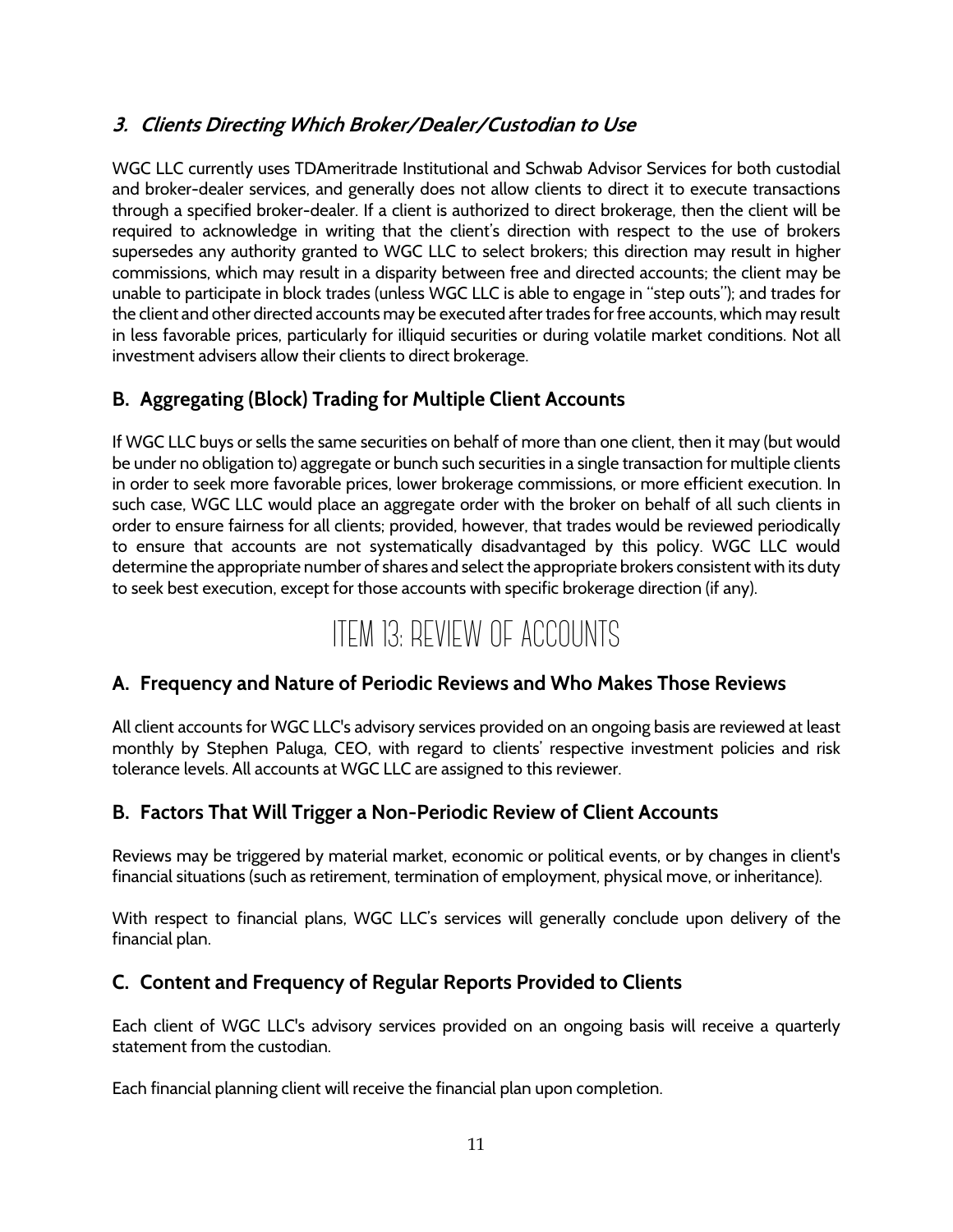## **3. Clients Directing Which Broker/Dealer/Custodian to Use**

WGC LLC currently uses TDAmeritrade Institutional and Schwab Advisor Services for both custodial and broker-dealer services, and generally does not allow clients to direct it to execute transactions through a specified broker-dealer. If a client is authorized to direct brokerage, then the client will be required to acknowledge in writing that the client's direction with respect to the use of brokers supersedes any authority granted to WGC LLC to select brokers; this direction may result in higher commissions, which may result in a disparity between free and directed accounts; the client may be unable to participate in block trades (unless WGC LLC is able to engage in "step outs"); and trades for the client and other directed accounts may be executed after trades for free accounts, which may result in less favorable prices, particularly for illiquid securities or during volatile market conditions. Not all investment advisers allow their clients to direct brokerage.

## **B. Aggregating (Block) Trading for Multiple Client Accounts**

If WGC LLC buys or sells the same securities on behalf of more than one client, then it may (but would be under no obligation to) aggregate or bunch such securities in a single transaction for multiple clients in order to seek more favorable prices, lower brokerage commissions, or more efficient execution. In such case, WGC LLC would place an aggregate order with the broker on behalf of all such clients in order to ensure fairness for all clients; provided, however, that trades would be reviewed periodically to ensure that accounts are not systematically disadvantaged by this policy. WGC LLC would determine the appropriate number of shares and select the appropriate brokers consistent with its duty to seek best execution, except for those accounts with specific brokerage direction (if any).

## ITEM 13: REVIEW OF ACCOUNTS

#### **A. Frequency and Nature of Periodic Reviews and Who Makes Those Reviews**

All client accounts for WGC LLC's advisory services provided on an ongoing basis are reviewed at least monthly by Stephen Paluga, CEO, with regard to clients' respective investment policies and risk tolerance levels. All accounts at WGC LLC are assigned to this reviewer.

#### **B. Factors That Will Trigger a Non-Periodic Review of Client Accounts**

Reviews may be triggered by material market, economic or political events, or by changes in client's financial situations (such as retirement, termination of employment, physical move, or inheritance).

With respect to financial plans, WGC LLC's services will generally conclude upon delivery of the financial plan.

#### **C. Content and Frequency of Regular Reports Provided to Clients**

Each client of WGC LLC's advisory services provided on an ongoing basis will receive a quarterly statement from the custodian.

Each financial planning client will receive the financial plan upon completion.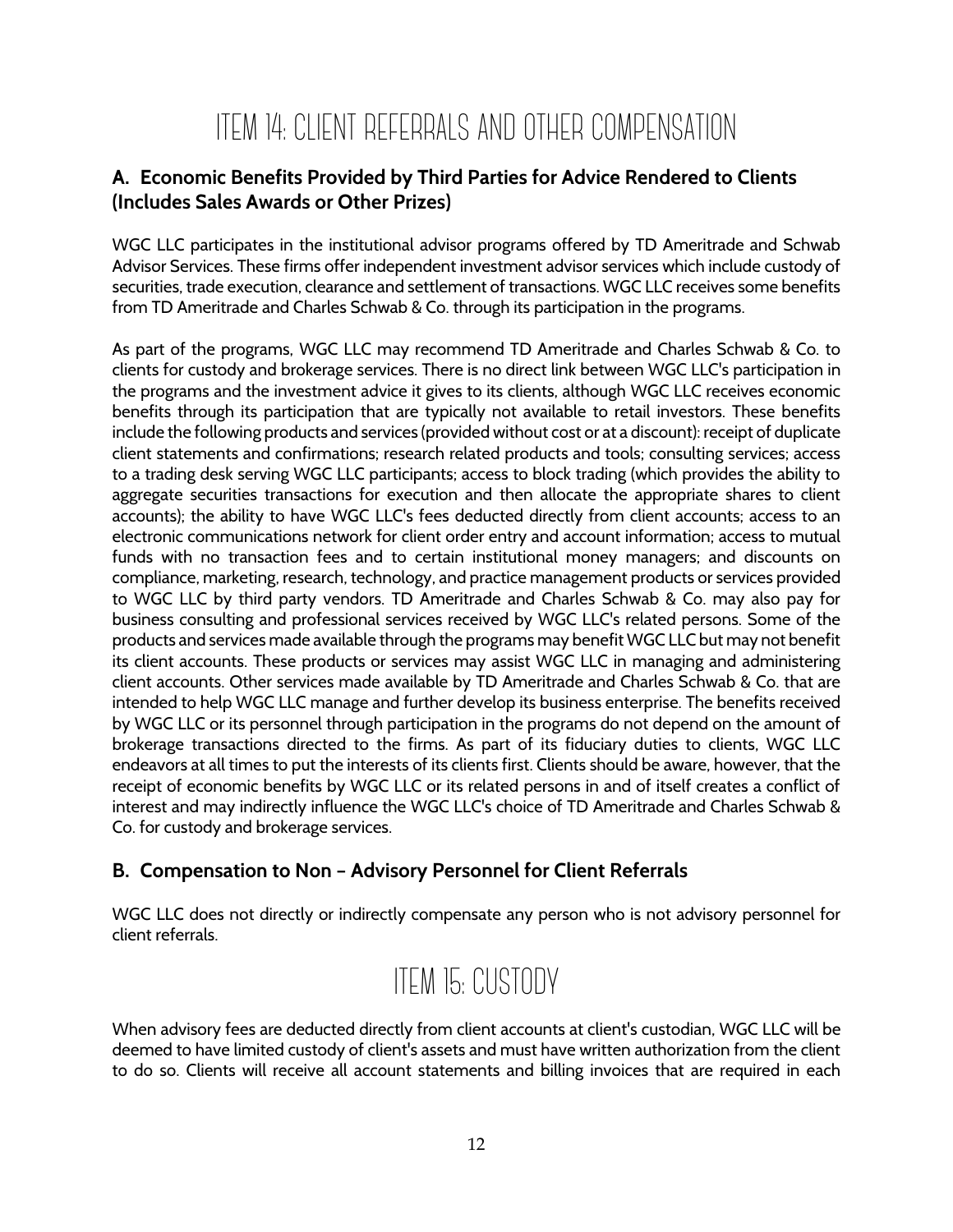## ITEM 14: CLIENT REFERRALS AND OTHER COMPENSATION

## **A. Economic Benefits Provided by Third Parties for Advice Rendered to Clients (Includes Sales Awards or Other Prizes)**

WGC LLC participates in the institutional advisor programs offered by TD Ameritrade and Schwab Advisor Services. These firms offer independent investment advisor services which include custody of securities, trade execution, clearance and settlement of transactions. WGC LLC receives some benefits from TD Ameritrade and Charles Schwab & Co. through its participation in the programs.

As part of the programs, WGC LLC may recommend TD Ameritrade and Charles Schwab & Co. to clients for custody and brokerage services. There is no direct link between WGC LLC's participation in the programs and the investment advice it gives to its clients, although WGC LLC receives economic benefits through its participation that are typically not available to retail investors. These benefits include the following products and services (provided without cost or at a discount): receipt of duplicate client statements and confirmations; research related products and tools; consulting services; access to a trading desk serving WGC LLC participants; access to block trading (which provides the ability to aggregate securities transactions for execution and then allocate the appropriate shares to client accounts); the ability to have WGC LLC's fees deducted directly from client accounts; access to an electronic communications network for client order entry and account information; access to mutual funds with no transaction fees and to certain institutional money managers; and discounts on compliance, marketing, research, technology, and practice management products or services provided to WGC LLC by third party vendors. TD Ameritrade and Charles Schwab & Co. may also pay for business consulting and professional services received by WGC LLC's related persons. Some of the products and services made available through the programs may benefit WGC LLC but may not benefit its client accounts. These products or services may assist WGC LLC in managing and administering client accounts. Other services made available by TD Ameritrade and Charles Schwab & Co. that are intended to help WGC LLC manage and further develop its business enterprise. The benefits received by WGC LLC or its personnel through participation in the programs do not depend on the amount of brokerage transactions directed to the firms. As part of its fiduciary duties to clients, WGC LLC endeavors at all times to put the interests of its clients first. Clients should be aware, however, that the receipt of economic benefits by WGC LLC or its related persons in and of itself creates a conflict of interest and may indirectly influence the WGC LLC's choice of TD Ameritrade and Charles Schwab & Co. for custody and brokerage services.

## **B. Compensation to Non – Advisory Personnel for Client Referrals**

WGC LLC does not directly or indirectly compensate any person who is not advisory personnel for client referrals.

# ITEM 15: CUSTODY

When advisory fees are deducted directly from client accounts at client's custodian, WGC LLC will be deemed to have limited custody of client's assets and must have written authorization from the client to do so. Clients will receive all account statements and billing invoices that are required in each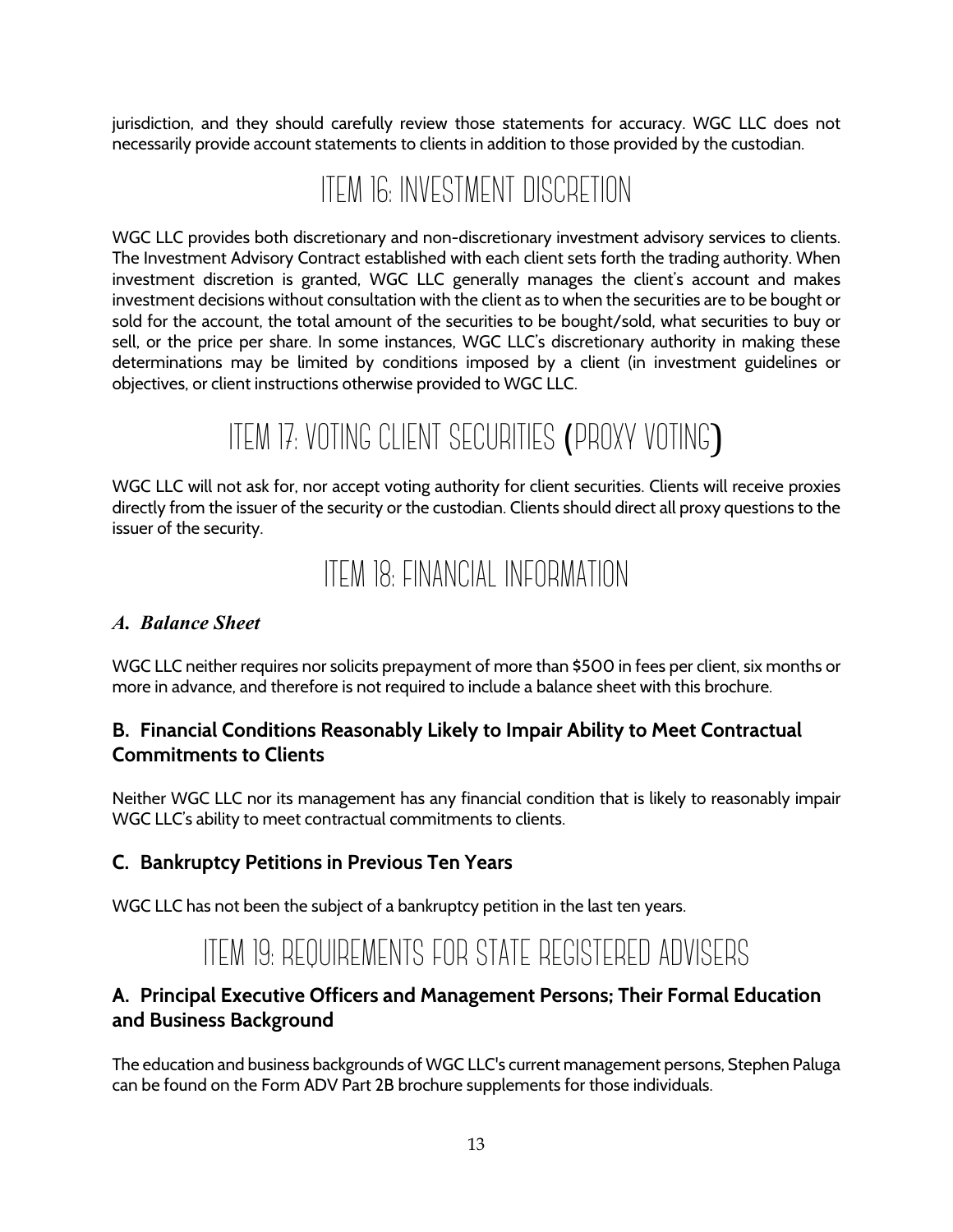jurisdiction, and they should carefully review those statements for accuracy. WGC LLC does not necessarily provide account statements to clients in addition to those provided by the custodian.

## ITEM 16: INVESTMENT DISCRETION

WGC LLC provides both discretionary and non-discretionary investment advisory services to clients. The Investment Advisory Contract established with each client sets forth the trading authority. When investment discretion is granted, WGC LLC generally manages the client's account and makes investment decisions without consultation with the client as to when the securities are to be bought or sold for the account, the total amount of the securities to be bought/sold, what securities to buy or sell, or the price per share. In some instances, WGC LLC's discretionary authority in making these determinations may be limited by conditions imposed by a client (in investment guidelines or objectives, or client instructions otherwise provided to WGC LLC.

# ITEM 17: VOTING CLIENT SECURITIES (PROXY VOTING)

WGC LLC will not ask for, nor accept voting authority for client securities. Clients will receive proxies directly from the issuer of the security or the custodian. Clients should direct all proxy questions to the issuer of the security.

## ITEM 18: FINANCIAL INFORMATION

#### *A. Balance Sheet*

WGC LLC neither requires nor solicits prepayment of more than \$500 in fees per client, six months or more in advance, and therefore is not required to include a balance sheet with this brochure.

### **B. Financial Conditions Reasonably Likely to Impair Ability to Meet Contractual Commitments to Clients**

Neither WGC LLC nor its management has any financial condition that is likely to reasonably impair WGC LLC's ability to meet contractual commitments to clients.

#### **C. Bankruptcy Petitions in Previous Ten Years**

WGC LLC has not been the subject of a bankruptcy petition in the last ten years.

## ITEM 19: REQUIREMENTS FOR STATE REGISTERED ADVISERS

## **A. Principal Executive Officers and Management Persons; Their Formal Education and Business Background**

The education and business backgrounds of WGC LLC's current management persons, Stephen Paluga can be found on the Form ADV Part 2B brochure supplements for those individuals.